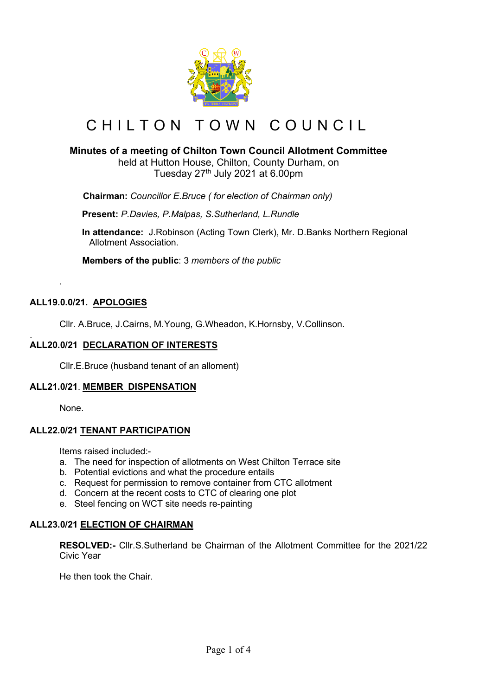

# CHILTON TOWN COUNCIL

# **Minutes of a meeting of Chilton Town Council Allotment Committee**

held at Hutton House, Chilton, County Durham, on Tuesday  $27<sup>th</sup>$  July 2021 at 6.00pm

 **Chairman:** *Councillor E.Bruce ( for election of Chairman only)*

**Present:** *P.Davies, P.Malpas, S.Sutherland, L.Rundle*

**In attendance:** J.Robinson (Acting Town Clerk), Mr. D.Banks Northern Regional Allotment Association.

 **Members of the public**: 3 *members of the public*

### **ALL19.0.0/21. APOLOGIES**

*.*

Cllr. A.Bruce, J.Cairns, M.Young, G.Wheadon, K.Hornsby, V.Collinson.

#### . **ALL20.0/21 DECLARATION OF INTERESTS**

Cllr.E.Bruce (husband tenant of an alloment)

#### **ALL21.0/21**. **MEMBER DISPENSATION**

None.

#### **ALL22.0/21 TENANT PARTICIPATION**

Items raised included:-

- a. The need for inspection of allotments on West Chilton Terrace site
- b. Potential evictions and what the procedure entails
- c. Request for permission to remove container from CTC allotment
- d. Concern at the recent costs to CTC of clearing one plot
- e. Steel fencing on WCT site needs re-painting

#### **ALL23.0/21 ELECTION OF CHAIRMAN**

**RESOLVED:-** Cllr.S.Sutherland be Chairman of the Allotment Committee for the 2021/22 Civic Year

He then took the Chair.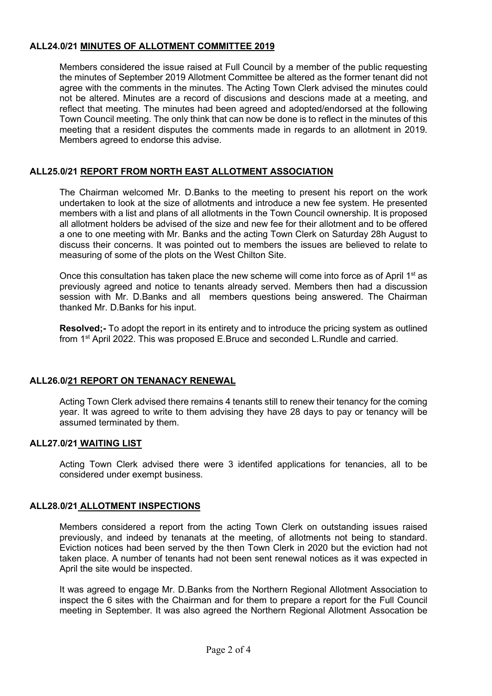# **ALL24.0/21 MINUTES OF ALLOTMENT COMMITTEE 2019**

Members considered the issue raised at Full Council by a member of the public requesting the minutes of September 2019 Allotment Committee be altered as the former tenant did not agree with the comments in the minutes. The Acting Town Clerk advised the minutes could not be altered. Minutes are a record of discusions and descions made at a meeting, and reflect that meeting. The minutes had been agreed and adopted/endorsed at the following Town Council meeting. The only think that can now be done is to reflect in the minutes of this meeting that a resident disputes the comments made in regards to an allotment in 2019. Members agreed to endorse this advise.

### **ALL25.0/21 REPORT FROM NORTH EAST ALLOTMENT ASSOCIATION**

The Chairman welcomed Mr. D.Banks to the meeting to present his report on the work undertaken to look at the size of allotments and introduce a new fee system. He presented members with a list and plans of all allotments in the Town Council ownership. It is proposed all allotment holders be advised of the size and new fee for their allotment and to be offered a one to one meeting with Mr. Banks and the acting Town Clerk on Saturday 28h August to discuss their concerns. It was pointed out to members the issues are believed to relate to measuring of some of the plots on the West Chilton Site.

Once this consultation has taken place the new scheme will come into force as of April  $1<sup>st</sup>$  as previously agreed and notice to tenants already served. Members then had a discussion session with Mr. D.Banks and all members questions being answered. The Chairman thanked Mr. D.Banks for his input.

**Resolved;-** To adopt the report in its entirety and to introduce the pricing system as outlined from 1<sup>st</sup> April 2022. This was proposed E.Bruce and seconded L.Rundle and carried.

#### **ALL26.0/21 REPORT ON TENANACY RENEWAL**

Acting Town Clerk advised there remains 4 tenants still to renew their tenancy for the coming year. It was agreed to write to them advising they have 28 days to pay or tenancy will be assumed terminated by them.

#### **ALL27.0/21 WAITING LIST**

Acting Town Clerk advised there were 3 identifed applications for tenancies, all to be considered under exempt business.

#### **ALL28.0/21 ALLOTMENT INSPECTIONS**

Members considered a report from the acting Town Clerk on outstanding issues raised previously, and indeed by tenanats at the meeting, of allotments not being to standard. Eviction notices had been served by the then Town Clerk in 2020 but the eviction had not taken place. A number of tenants had not been sent renewal notices as it was expected in April the site would be inspected.

It was agreed to engage Mr. D.Banks from the Northern Regional Allotment Association to inspect the 6 sites with the Chairman and for them to prepare a report for the Full Council meeting in September. It was also agreed the Northern Regional Allotment Assocation be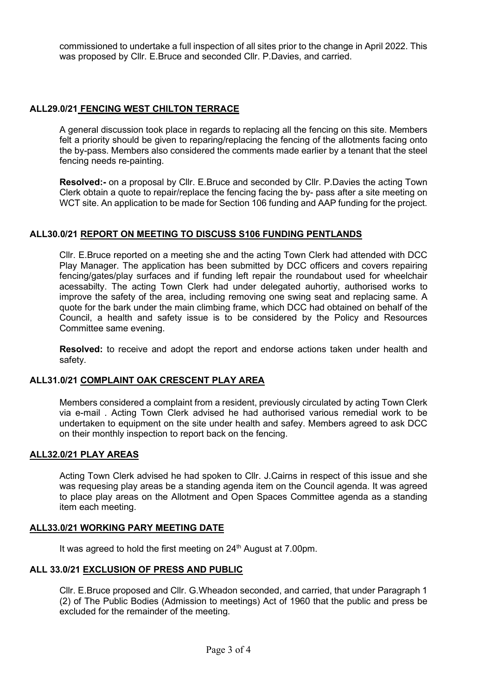commissioned to undertake a full inspection of all sites prior to the change in April 2022. This was proposed by Cllr. E.Bruce and seconded Cllr. P.Davies, and carried.

### **ALL29.0/21 FENCING WEST CHILTON TERRACE**

A general discussion took place in regards to replacing all the fencing on this site. Members felt a priority should be given to reparing/replacing the fencing of the allotments facing onto the by-pass. Members also considered the comments made earlier by a tenant that the steel fencing needs re-painting.

**Resolved:-** on a proposal by Cllr. E.Bruce and seconded by Cllr. P.Davies the acting Town Clerk obtain a quote to repair/replace the fencing facing the by- pass after a site meeting on WCT site. An application to be made for Section 106 funding and AAP funding for the project.

#### **ALL30.0/21 REPORT ON MEETING TO DISCUSS S106 FUNDING PENTLANDS**

Cllr. E.Bruce reported on a meeting she and the acting Town Clerk had attended with DCC Play Manager. The application has been submitted by DCC officers and covers repairing fencing/gates/play surfaces and if funding left repair the roundabout used for wheelchair acessabilty. The acting Town Clerk had under delegated auhortiy, authorised works to improve the safety of the area, including removing one swing seat and replacing same. A quote for the bark under the main climbing frame, which DCC had obtained on behalf of the Council, a health and safety issue is to be considered by the Policy and Resources Committee same evening.

**Resolved:** to receive and adopt the report and endorse actions taken under health and safety.

#### **ALL31.0/21 COMPLAINT OAK CRESCENT PLAY AREA**

Members considered a complaint from a resident, previously circulated by acting Town Clerk via e-mail . Acting Town Clerk advised he had authorised various remedial work to be undertaken to equipment on the site under health and safey. Members agreed to ask DCC on their monthly inspection to report back on the fencing.

#### **ALL32.0/21 PLAY AREAS**

Acting Town Clerk advised he had spoken to Cllr. J.Cairns in respect of this issue and she was requesing play areas be a standing agenda item on the Council agenda. It was agreed to place play areas on the Allotment and Open Spaces Committee agenda as a standing item each meeting.

#### **ALL33.0/21 WORKING PARY MEETING DATE**

It was agreed to hold the first meeting on 24<sup>th</sup> August at 7.00pm.

#### **ALL 33.0/21 EXCLUSION OF PRESS AND PUBLIC**

Cllr. E.Bruce proposed and Cllr. G.Wheadon seconded, and carried, that under Paragraph 1 (2) of The Public Bodies (Admission to meetings) Act of 1960 that the public and press be excluded for the remainder of the meeting.